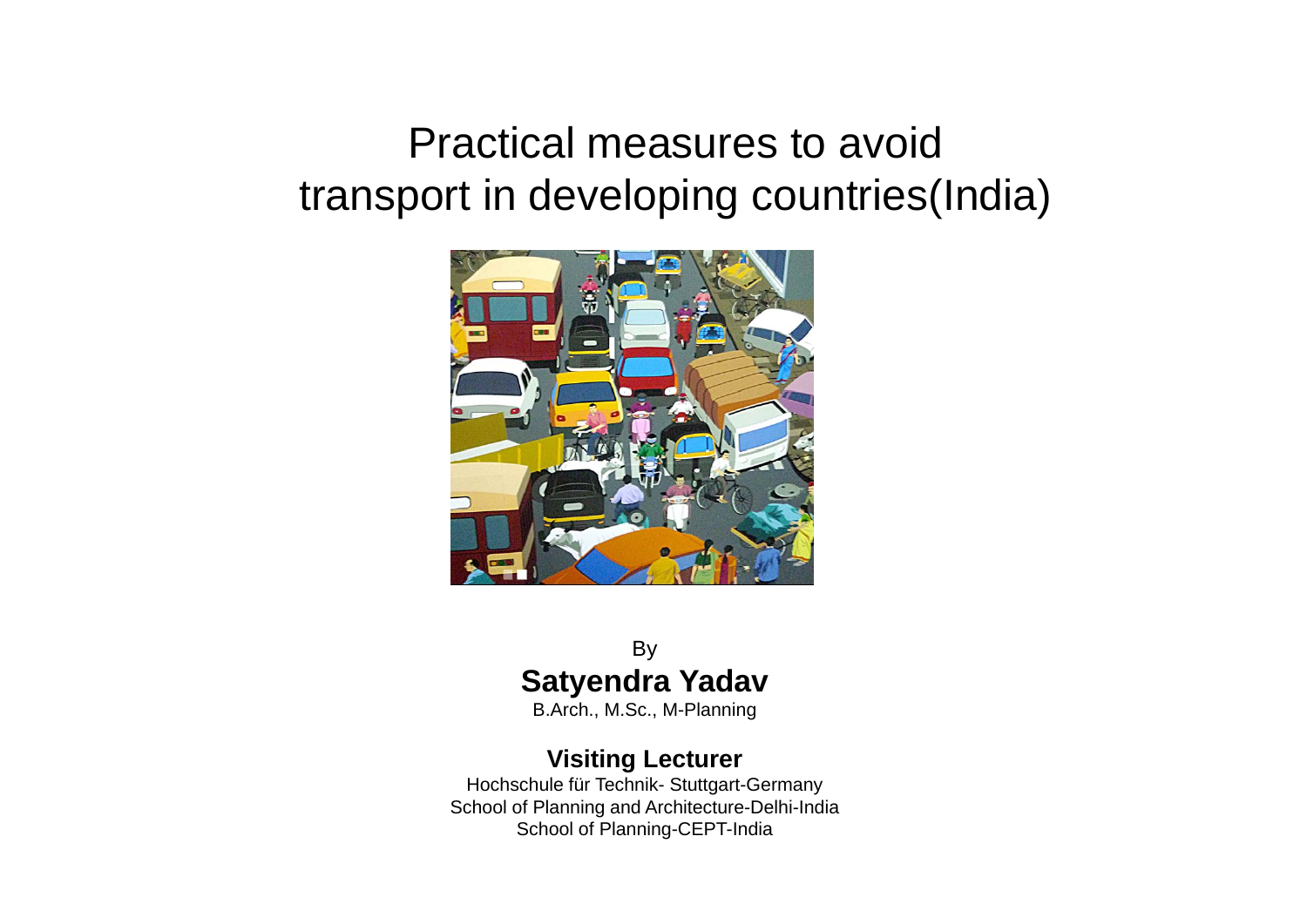## Practical measures to avoid transport in developing countries(India)



### By **Satyendra Yadav**

B.Arch., M.Sc., M-Planning

#### **Visiting Lecturer**

Hochschule für Technik- Stuttgart-Germany School of Planning and Architecture-Delhi-India School of Planning-CEPT-India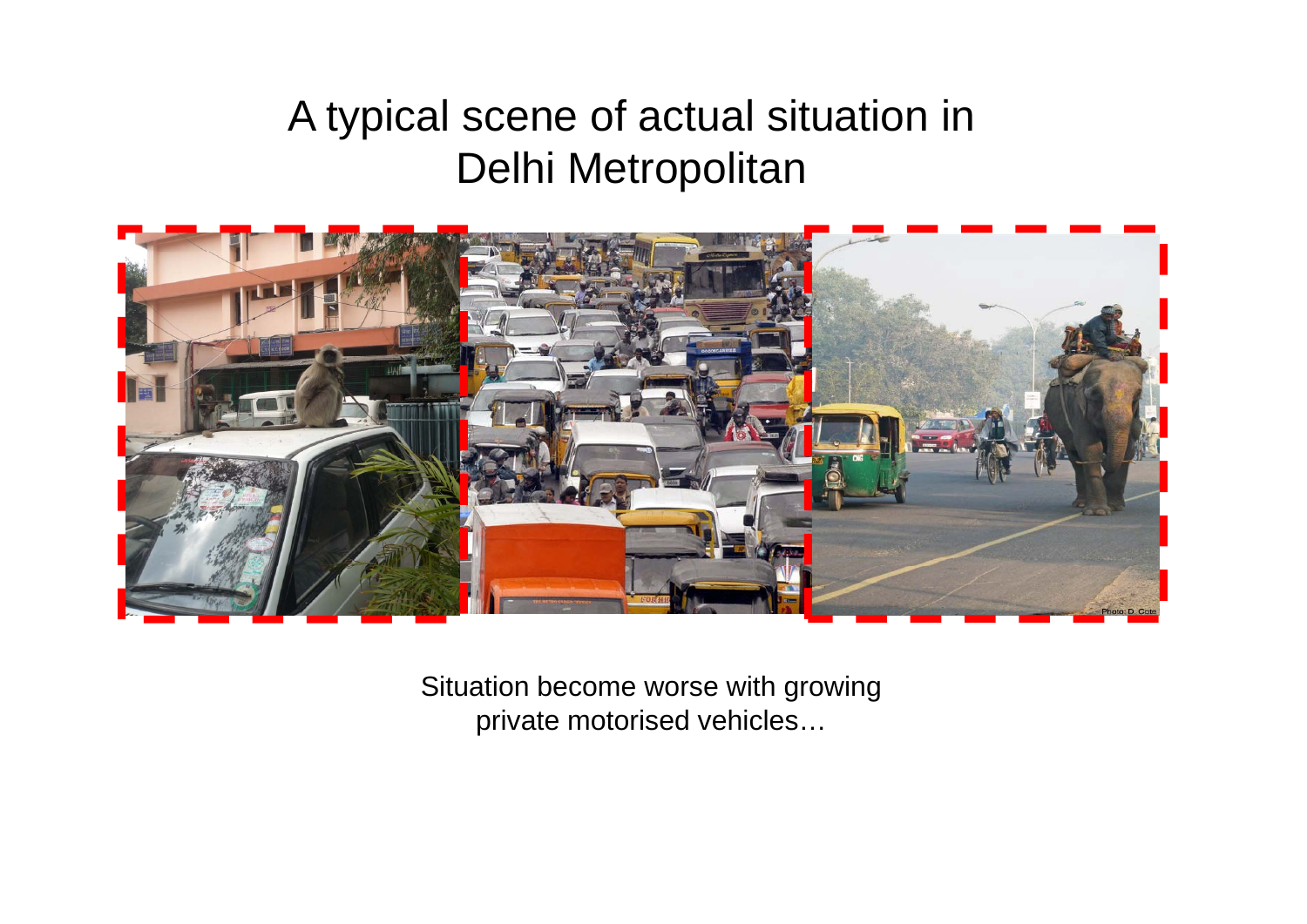# A typical scene of actual situation in Delhi Metropolitan



Situation become worse with growing private motorised vehicles…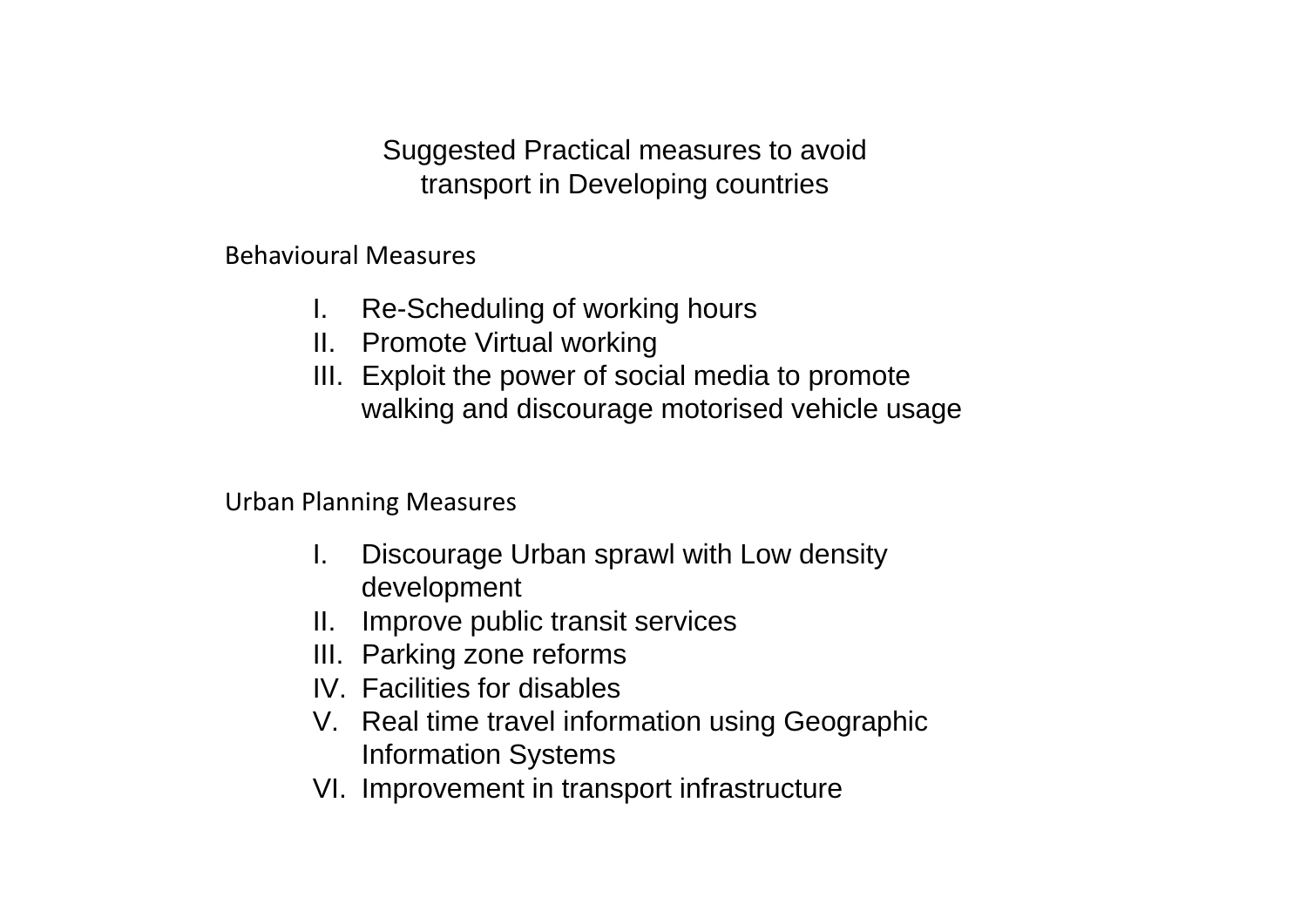Suggested Practical measures to avoid transport in Developing countries

Behavioural Measures

- I. Re-Scheduling of working hours
- II. Promote Virtual working
- III. Exploit the power of social media to promote walking and discourage motorised vehicle usage

Urban Planning Measures

- I. Discourage Urban sprawl with Low density development
- II. Improve public transit services
- III. Parking zone reforms
- IV. Facilities for disables
- V. Real time travel information using Geographic Information Systems
- VI. Improvement in transport infrastructure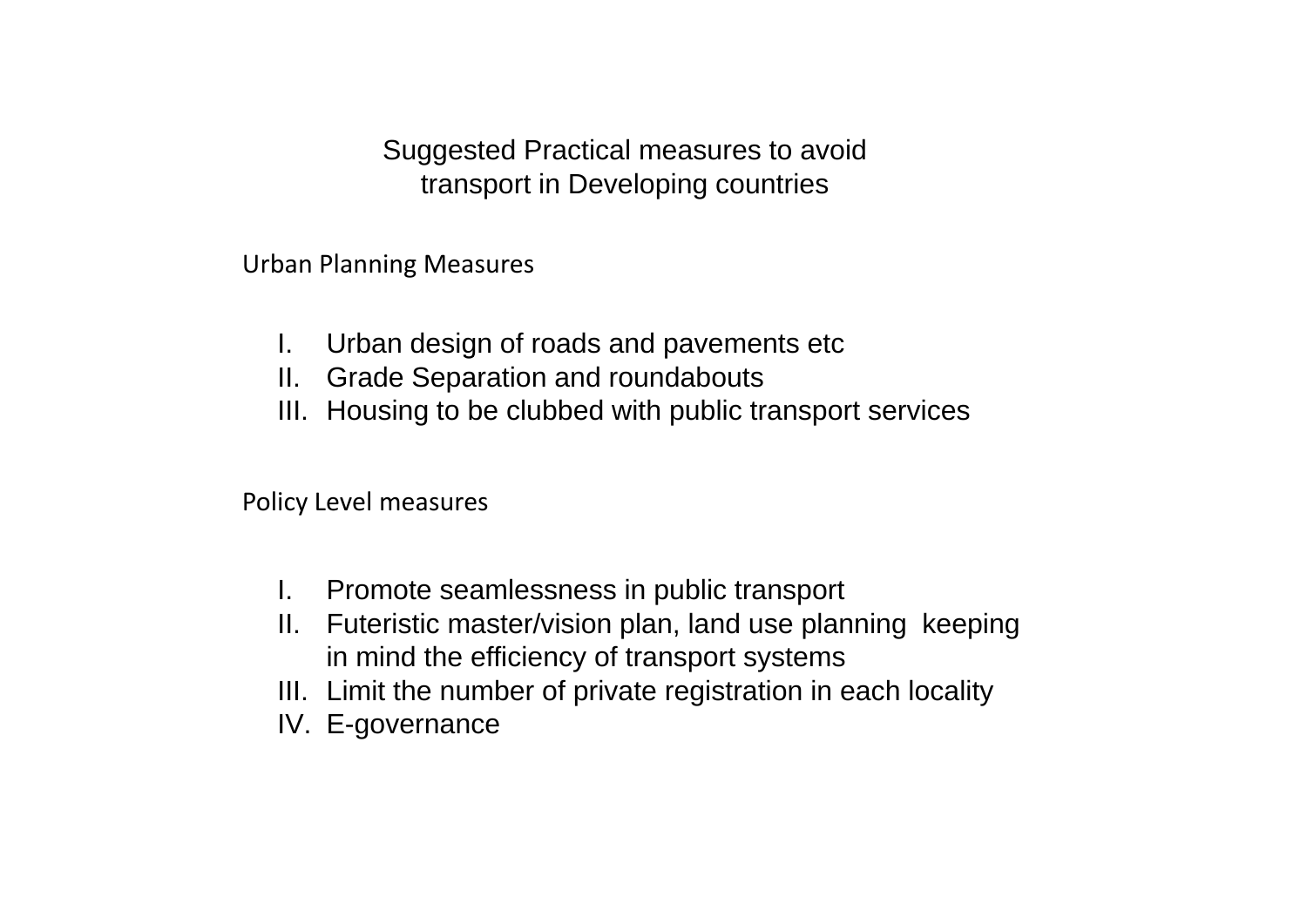Suggested Practical measures to avoid transport in Developing countries

Urban Planning Measures

- I. Urban design of roads and pavements etc
- II. Grade Separation and roundabouts
- III. Housing to be clubbed with public transport services

Policy Level measures

- I. Promote seamlessness in public transport
- II. Futeristic master/vision plan, land use planning keeping in mind the efficiency of transport systems
- III. Limit the number of private registration in each locality
- IV. E-governance